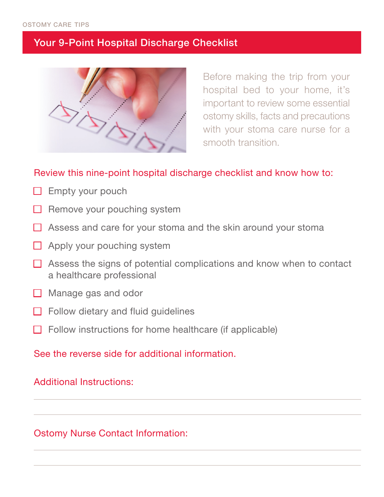# Your 9-Point Hospital Discharge Checklist



Before making the trip from your hospital bed to your home, it's important to review some essential ostomy skills, facts and precautions with your stoma care nurse for a smooth transition.

## Review this nine-point hospital discharge checklist and know how to:

- $\Box$  Empty your pouch
- Remove your pouching system
- $\Box$  Assess and care for your stoma and the skin around your stoma
- $\Box$  Apply your pouching system
- $\Box$  Assess the signs of potential complications and know when to contact a healthcare professional
- $\Box$  Manage gas and odor
- $\Box$  Follow dietary and fluid guidelines
- Follow instructions for home healthcare (if applicable)

### See the reverse side for additional information.

### Additional Instructions:

## Ostomy Nurse Contact Information: